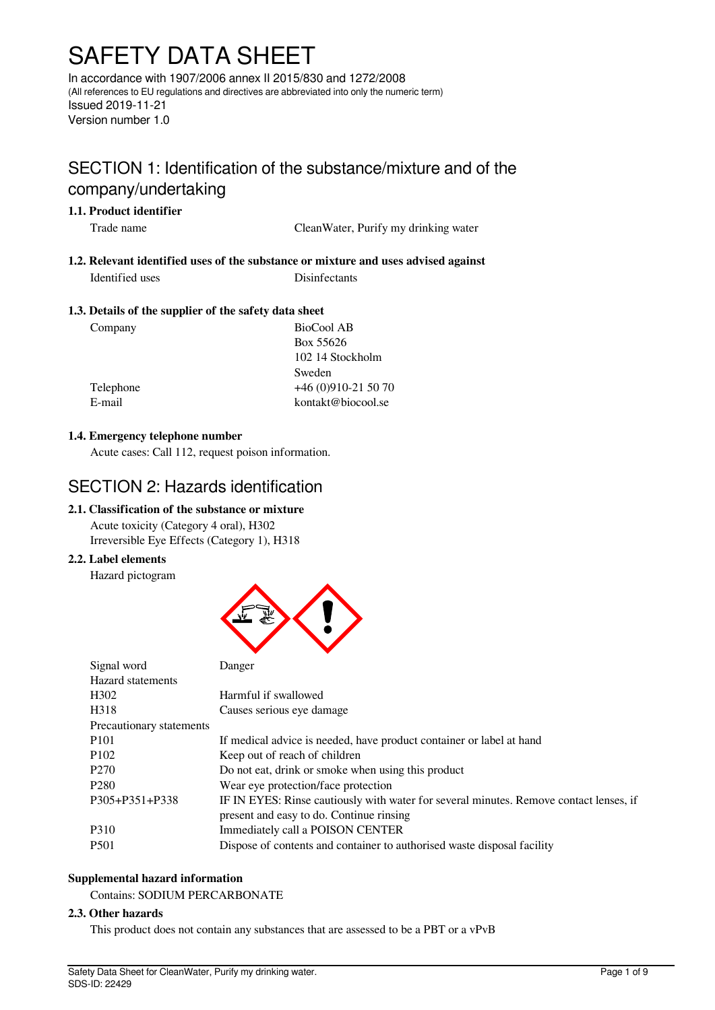# SAFETY DATA SHEET

In accordance with 1907/2006 annex II 2015/830 and 1272/2008 (All references to EU regulations and directives are abbreviated into only the numeric term) Issued 2019-11-21 Version number 1.0

## SECTION 1: Identification of the substance/mixture and of the company/undertaking

## **1.1. Product identifier**

Trade name CleanWater, Purify my drinking water

## **1.2. Relevant identified uses of the substance or mixture and uses advised against** Identified uses Disinfectants

## **1.3. Details of the supplier of the safety data sheet**

Company BioCool AB Box 55626 102 14 Stockholm Sweden Telephone +46 (0)910-21 50 70 E-mail kontakt@biocool.se

## **1.4. Emergency telephone number**

Acute cases: Call 112, request poison information.

## SECTION 2: Hazards identification

## **2.1. Classification of the substance or mixture**

Acute toxicity (Category 4 oral), H302 Irreversible Eye Effects (Category 1), H318

## **2.2. Label elements**

Hazard pictogram



| Signal word              | Danger                                                                                 |
|--------------------------|----------------------------------------------------------------------------------------|
| Hazard statements        |                                                                                        |
| H <sub>3</sub> 02        | Harmful if swallowed                                                                   |
| H318                     | Causes serious eye damage                                                              |
| Precautionary statements |                                                                                        |
| P <sub>101</sub>         | If medical advice is needed, have product container or label at hand                   |
| P <sub>102</sub>         | Keep out of reach of children                                                          |
| P <sub>270</sub>         | Do not eat, drink or smoke when using this product                                     |
| P <sub>280</sub>         | Wear eye protection/face protection                                                    |
| P305+P351+P338           | IF IN EYES: Rinse cautiously with water for several minutes. Remove contact lenses, if |
|                          | present and easy to do. Continue rinsing                                               |
| P310                     | Immediately call a POISON CENTER                                                       |
| P <sub>501</sub>         | Dispose of contents and container to authorised waste disposal facility                |

## **Supplemental hazard information**

Contains: SODIUM PERCARBONATE

## **2.3. Other hazards**

This product does not contain any substances that are assessed to be a PBT or a vPvB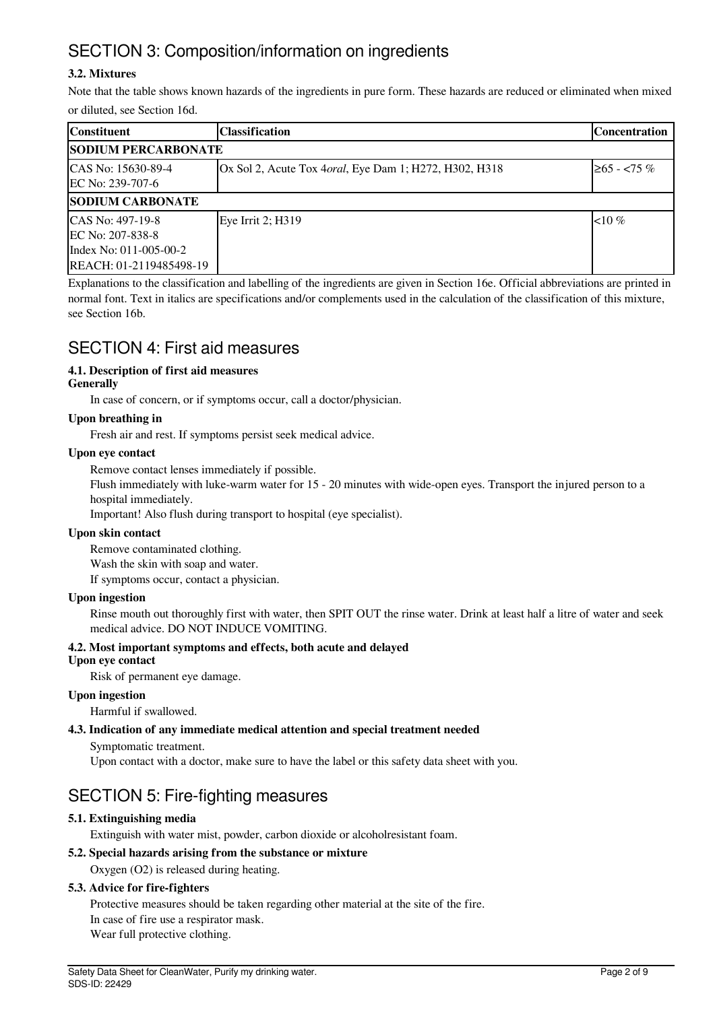## SECTION 3: Composition/information on ingredients

## **3.2. Mixtures**

Note that the table shows known hazards of the ingredients in pure form. These hazards are reduced or eliminated when mixed or diluted, see Section 16d.

| <b>Constituent</b>                                                                                        | lClassification                                                 | <b>Concentration</b> |  |
|-----------------------------------------------------------------------------------------------------------|-----------------------------------------------------------------|----------------------|--|
| <b>SODIUM PERCARBONATE</b>                                                                                |                                                                 |                      |  |
| ICAS No: 15630-89-4<br>EC No: 239-707-6                                                                   | Ox Sol 2, Acute Tox 4 <i>oral</i> , Eye Dam 1; H272, H302, H318 | $\geq 65 - 55 \%$    |  |
| <b>SODIUM CARBONATE</b>                                                                                   |                                                                 |                      |  |
| ICAS No: 497-19-8<br><b>IEC No: 207-838-8</b><br>Index No: 011-005-00-2<br><b>REACH: 01-2119485498-19</b> | Eye Irrit 2; H319                                               | $10\%$               |  |

Explanations to the classification and labelling of the ingredients are given in Section 16e. Official abbreviations are printed in normal font. Text in italics are specifications and/or complements used in the calculation of the classification of this mixture, see Section 16b.

## SECTION 4: First aid measures

## **4.1. Description of first aid measures**

## **Generally**

In case of concern, or if symptoms occur, call a doctor/physician.

## **Upon breathing in**

Fresh air and rest. If symptoms persist seek medical advice.

## **Upon eye contact**

Remove contact lenses immediately if possible.

Flush immediately with luke-warm water for 15 - 20 minutes with wide-open eyes. Transport the injured person to a hospital immediately.

Important! Also flush during transport to hospital (eye specialist).

## **Upon skin contact**

Remove contaminated clothing. Wash the skin with soap and water. If symptoms occur, contact a physician.

## **Upon ingestion**

Rinse mouth out thoroughly first with water, then SPIT OUT the rinse water. Drink at least half a litre of water and seek medical advice. DO NOT INDUCE VOMITING.

## **4.2. Most important symptoms and effects, both acute and delayed**

## **Upon eye contact**

Risk of permanent eye damage.

## **Upon ingestion**

Harmful if swallowed.

## **4.3. Indication of any immediate medical attention and special treatment needed**

Symptomatic treatment.

Upon contact with a doctor, make sure to have the label or this safety data sheet with you.

## SECTION 5: Fire-fighting measures

## **5.1. Extinguishing media**

Extinguish with water mist, powder, carbon dioxide or alcoholresistant foam.

## **5.2. Special hazards arising from the substance or mixture**

Oxygen (O2) is released during heating.

## **5.3. Advice for fire-fighters**

Protective measures should be taken regarding other material at the site of the fire. In case of fire use a respirator mask. Wear full protective clothing.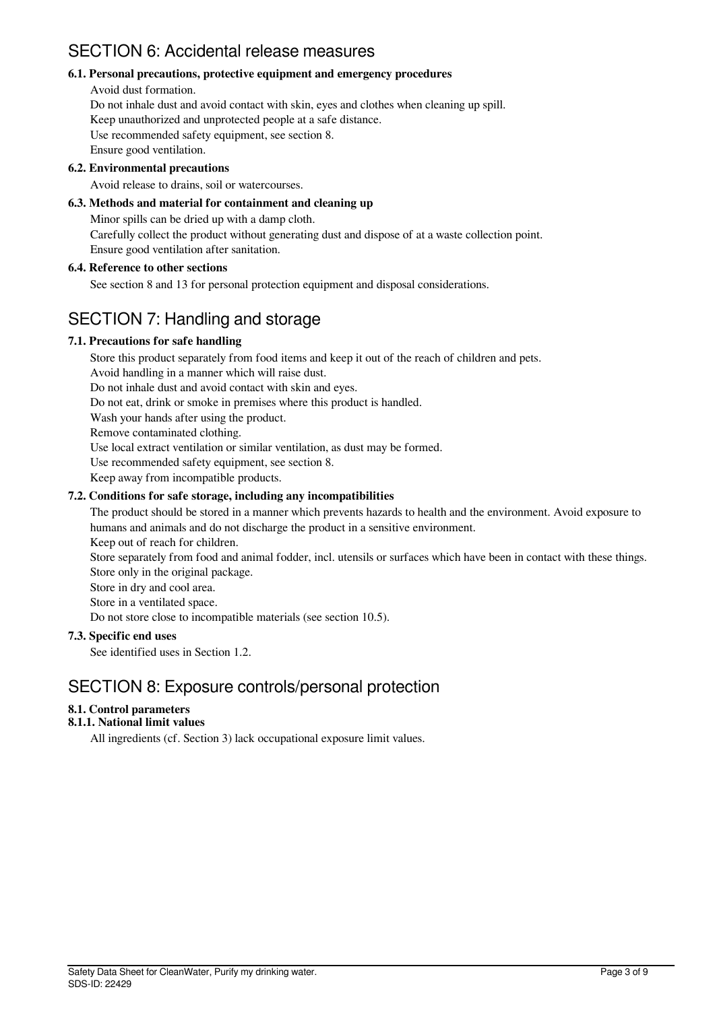## SECTION 6: Accidental release measures

## **6.1. Personal precautions, protective equipment and emergency procedures**

#### Avoid dust formation.

Do not inhale dust and avoid contact with skin, eyes and clothes when cleaning up spill. Keep unauthorized and unprotected people at a safe distance. Use recommended safety equipment, see section 8. Ensure good ventilation.

## **6.2. Environmental precautions**

Avoid release to drains, soil or watercourses.

## **6.3. Methods and material for containment and cleaning up**

Minor spills can be dried up with a damp cloth. Carefully collect the product without generating dust and dispose of at a waste collection point. Ensure good ventilation after sanitation.

## **6.4. Reference to other sections**

See section 8 and 13 for personal protection equipment and disposal considerations.

## SECTION 7: Handling and storage

## **7.1. Precautions for safe handling**

Store this product separately from food items and keep it out of the reach of children and pets. Avoid handling in a manner which will raise dust. Do not inhale dust and avoid contact with skin and eyes. Do not eat, drink or smoke in premises where this product is handled. Wash your hands after using the product. Remove contaminated clothing. Use local extract ventilation or similar ventilation, as dust may be formed. Use recommended safety equipment, see section 8. Keep away from incompatible products. **7.2. Conditions for safe storage, including any incompatibilities**

The product should be stored in a manner which prevents hazards to health and the environment. Avoid exposure to humans and animals and do not discharge the product in a sensitive environment.

Keep out of reach for children.

Store separately from food and animal fodder, incl. utensils or surfaces which have been in contact with these things. Store only in the original package.

Store in dry and cool area.

Store in a ventilated space.

Do not store close to incompatible materials (see section 10.5).

## **7.3. Specific end uses**

See identified uses in Section 1.2.

## SECTION 8: Exposure controls/personal protection

## **8.1. Control parameters**

## **8.1.1. National limit values**

All ingredients (cf. Section 3) lack occupational exposure limit values.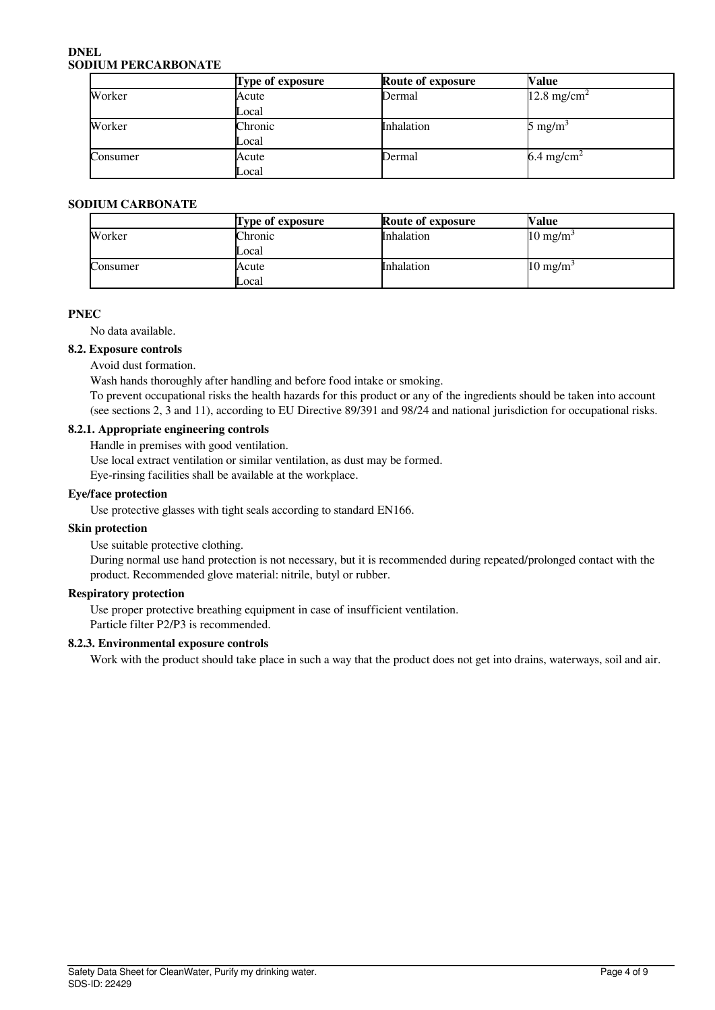#### **DNEL SODIUM PERCARBONATE**

|          | Type of exposure | Route of exposure | Value                    |
|----------|------------------|-------------------|--------------------------|
| Worker   | Acute            | Dermal            | $12.8 \text{ mg/cm}^2$   |
|          | Local            |                   |                          |
| Worker   | Chronic          | Inhalation        | $5 \text{ mg/m}^3$       |
|          | Local            |                   |                          |
| Consumer | Acute            | Dermal            | $6.4$ mg/cm <sup>2</sup> |
|          | Local            |                   |                          |

## **SODIUM CARBONATE**

|          | Type of exposure | <b>Route of exposure</b> | <b>Nalue</b>        |
|----------|------------------|--------------------------|---------------------|
| Worker   | Chronic          | <b>Inhalation</b>        | $10 \text{ mg/m}^3$ |
|          | Local            |                          |                     |
| Consumer | Acute            | <b>Inhalation</b>        | $10 \text{ mg/m}^3$ |
|          | Local            |                          |                     |

## **PNEC**

No data available.

#### **8.2. Exposure controls**

Avoid dust formation.

Wash hands thoroughly after handling and before food intake or smoking.

To prevent occupational risks the health hazards for this product or any of the ingredients should be taken into account (see sections 2, 3 and 11), according to EU Directive 89/391 and 98/24 and national jurisdiction for occupational risks.

## **8.2.1. Appropriate engineering controls**

Handle in premises with good ventilation.

Use local extract ventilation or similar ventilation, as dust may be formed.

Eye-rinsing facilities shall be available at the workplace.

#### **Eye/face protection**

Use protective glasses with tight seals according to standard EN166.

## **Skin protection**

Use suitable protective clothing.

During normal use hand protection is not necessary, but it is recommended during repeated/prolonged contact with the product. Recommended glove material: nitrile, butyl or rubber.

## **Respiratory protection**

Use proper protective breathing equipment in case of insufficient ventilation.

Particle filter P2/P3 is recommended.

## **8.2.3. Environmental exposure controls**

Work with the product should take place in such a way that the product does not get into drains, waterways, soil and air.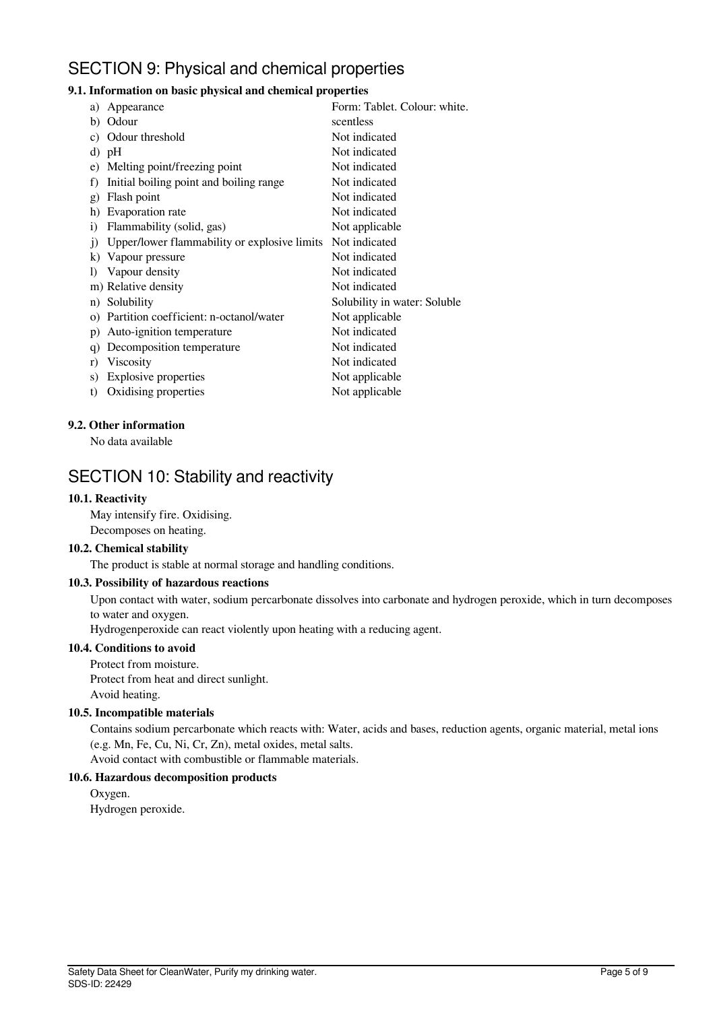## SECTION 9: Physical and chemical properties

## **9.1. Information on basic physical and chemical properties**

| a)           | Appearance                                   | Form: Tablet. Colour: white. |
|--------------|----------------------------------------------|------------------------------|
| b)           | Odour                                        | scentless                    |
| C)           | Odour threshold                              | Not indicated                |
|              | d) pH                                        | Not indicated                |
|              | e) Melting point/freezing point              | Not indicated                |
| f)           | Initial boiling point and boiling range      | Not indicated                |
| g)           | Flash point                                  | Not indicated                |
| h)           | Evaporation rate                             | Not indicated                |
| $\mathbf{i}$ | Flammability (solid, gas)                    | Not applicable               |
| $\ddot{1}$   | Upper/lower flammability or explosive limits | Not indicated                |
|              | k) Vapour pressure                           | Not indicated                |
| $\bf{D}$     | Vapour density                               | Not indicated                |
|              | m) Relative density                          | Not indicated                |
|              | n) Solubility                                | Solubility in water: Soluble |
|              | o) Partition coefficient: n-octanol/water    | Not applicable               |
| p)           | Auto-ignition temperature                    | Not indicated                |
| q)           | Decomposition temperature                    | Not indicated                |
| r)           | <b>Viscosity</b>                             | Not indicated                |
| S)           | <b>Explosive properties</b>                  | Not applicable               |
| t)           | Oxidising properties                         | Not applicable               |
|              |                                              |                              |

#### **9.2. Other information**

No data available

## SECTION 10: Stability and reactivity

#### **10.1. Reactivity**

May intensify fire. Oxidising. Decomposes on heating.

#### **10.2. Chemical stability**

The product is stable at normal storage and handling conditions.

## **10.3. Possibility of hazardous reactions**

Upon contact with water, sodium percarbonate dissolves into carbonate and hydrogen peroxide, which in turn decomposes to water and oxygen.

Hydrogenperoxide can react violently upon heating with a reducing agent.

## **10.4. Conditions to avoid**

Protect from moisture. Protect from heat and direct sunlight.

Avoid heating.

## **10.5. Incompatible materials**

Contains sodium percarbonate which reacts with: Water, acids and bases, reduction agents, organic material, metal ions (e.g. Mn, Fe, Cu, Ni, Cr, Zn), metal oxides, metal salts. Avoid contact with combustible or flammable materials.

#### **10.6. Hazardous decomposition products**

Oxygen. Hydrogen peroxide.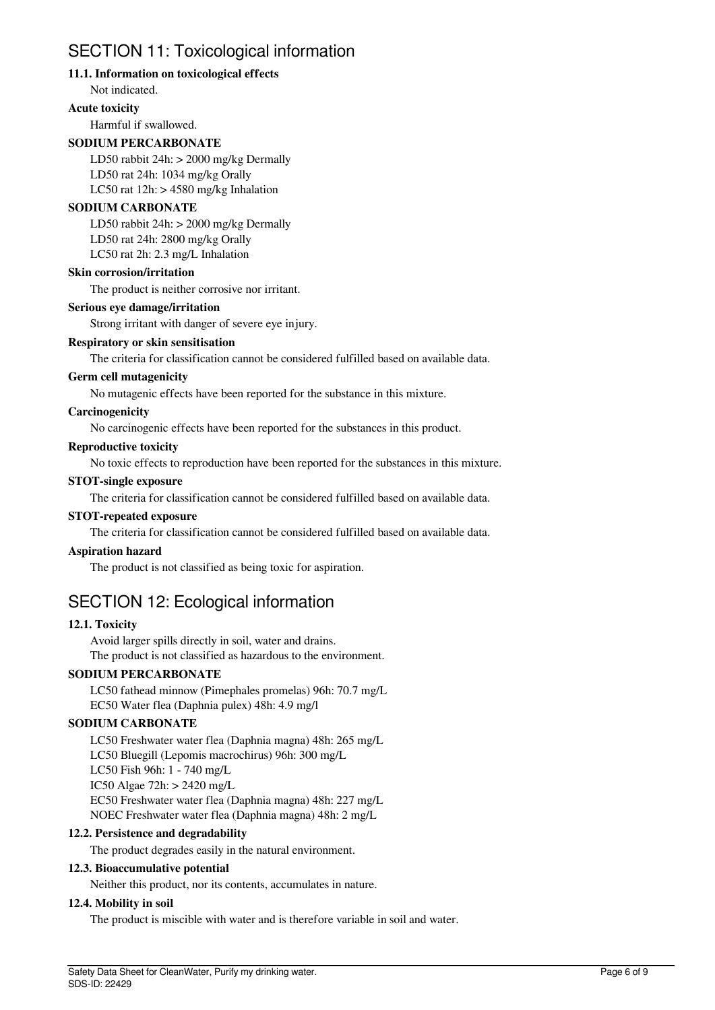## SECTION 11: Toxicological information

## **11.1. Information on toxicological effects**

Not indicated.

#### **Acute toxicity**

Harmful if swallowed.

## **SODIUM PERCARBONATE**

LD50 rabbit 24h: > 2000 mg/kg Dermally LD50 rat 24h: 1034 mg/kg Orally LC50 rat  $12h$ :  $> 4580$  mg/kg Inhalation

## **SODIUM CARBONATE**

LD50 rabbit 24h: > 2000 mg/kg Dermally LD50 rat 24h: 2800 mg/kg Orally LC50 rat 2h: 2.3 mg/L Inhalation

## **Skin corrosion/irritation**

The product is neither corrosive nor irritant.

#### **Serious eye damage/irritation**

Strong irritant with danger of severe eye injury.

## **Respiratory or skin sensitisation**

The criteria for classification cannot be considered fulfilled based on available data.

#### **Germ cell mutagenicity**

No mutagenic effects have been reported for the substance in this mixture.

## **Carcinogenicity**

No carcinogenic effects have been reported for the substances in this product.

#### **Reproductive toxicity**

No toxic effects to reproduction have been reported for the substances in this mixture.

#### **STOT-single exposure**

The criteria for classification cannot be considered fulfilled based on available data.

## **STOT-repeated exposure**

The criteria for classification cannot be considered fulfilled based on available data.

#### **Aspiration hazard**

The product is not classified as being toxic for aspiration.

## SECTION 12: Ecological information

## **12.1. Toxicity**

Avoid larger spills directly in soil, water and drains. The product is not classified as hazardous to the environment.

## **SODIUM PERCARBONATE**

LC50 fathead minnow (Pimephales promelas) 96h: 70.7 mg/L EC50 Water flea (Daphnia pulex) 48h: 4.9 mg/l

## **SODIUM CARBONATE**

LC50 Freshwater water flea (Daphnia magna) 48h: 265 mg/L LC50 Bluegill (Lepomis macrochirus) 96h: 300 mg/L LC50 Fish 96h: 1 - 740 mg/L IC50 Algae 72h: > 2420 mg/L EC50 Freshwater water flea (Daphnia magna) 48h: 227 mg/L NOEC Freshwater water flea (Daphnia magna) 48h: 2 mg/L

#### **12.2. Persistence and degradability**

The product degrades easily in the natural environment.

## **12.3. Bioaccumulative potential**

Neither this product, nor its contents, accumulates in nature.

#### **12.4. Mobility in soil**

The product is miscible with water and is therefore variable in soil and water.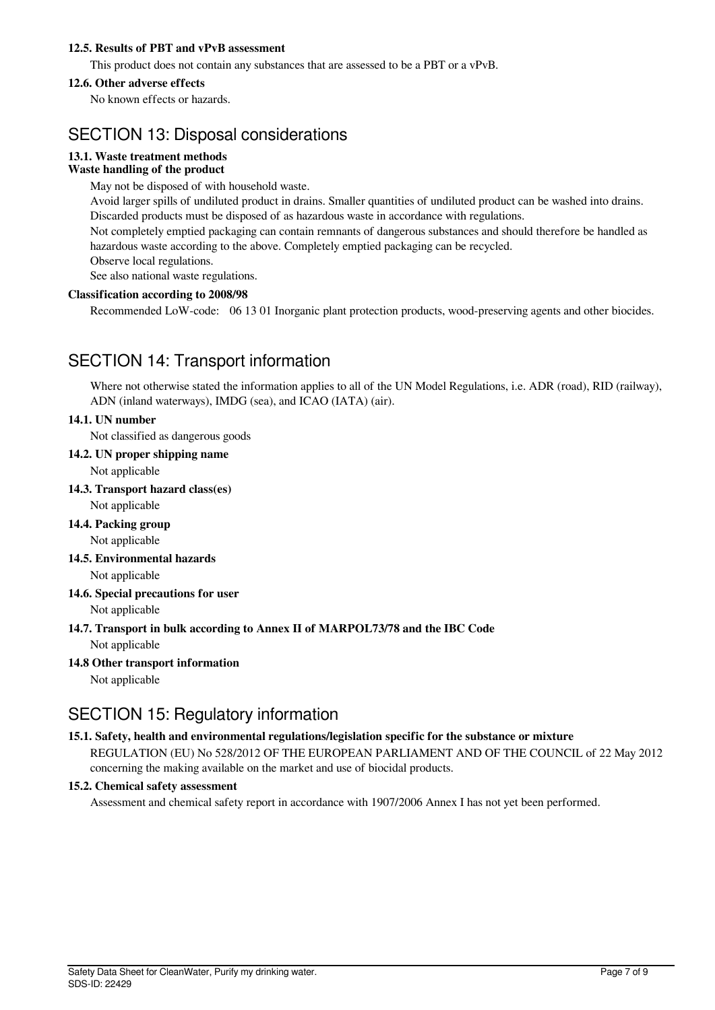## **12.5. Results of PBT and vPvB assessment**

This product does not contain any substances that are assessed to be a PBT or a vPvB.

#### **12.6. Other adverse effects**

No known effects or hazards.

## SECTION 13: Disposal considerations

## **13.1. Waste treatment methods**

## **Waste handling of the product**

May not be disposed of with household waste.

Avoid larger spills of undiluted product in drains. Smaller quantities of undiluted product can be washed into drains. Discarded products must be disposed of as hazardous waste in accordance with regulations.

Not completely emptied packaging can contain remnants of dangerous substances and should therefore be handled as hazardous waste according to the above. Completely emptied packaging can be recycled.

Observe local regulations.

See also national waste regulations.

#### **Classification according to 2008/98**

Recommended LoW-code: 06 13 01 Inorganic plant protection products, wood-preserving agents and other biocides.

## SECTION 14: Transport information

Where not otherwise stated the information applies to all of the UN Model Regulations, i.e. ADR (road), RID (railway), ADN (inland waterways), IMDG (sea), and ICAO (IATA) (air).

## **14.1. UN number**

Not classified as dangerous goods

## **14.2. UN proper shipping name**

Not applicable

**14.3. Transport hazard class(es)**

Not applicable

#### **14.4. Packing group** Not applicable

**14.5. Environmental hazards**

Not applicable

## **14.6. Special precautions for user**

Not applicable

## **14.7. Transport in bulk according to Annex II of MARPOL73/78 and the IBC Code**

Not applicable

## **14.8 Other transport information**

Not applicable

## SECTION 15: Regulatory information

## **15.1. Safety, health and environmental regulations/legislation specific for the substance or mixture**

REGULATION (EU) No 528/2012 OF THE EUROPEAN PARLIAMENT AND OF THE COUNCIL of 22 May 2012 concerning the making available on the market and use of biocidal products.

## **15.2. Chemical safety assessment**

Assessment and chemical safety report in accordance with 1907/2006 Annex I has not yet been performed.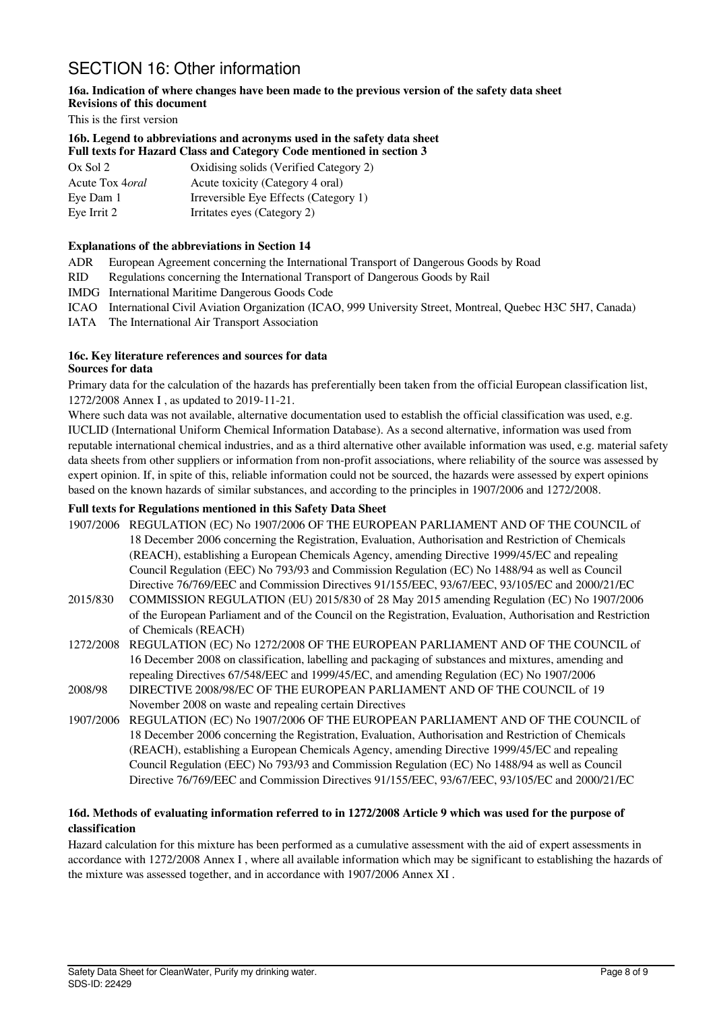## SECTION 16: Other information

#### **16a. Indication of where changes have been made to the previous version of the safety data sheet Revisions of this document**

This is the first version

## **16b. Legend to abbreviations and acronyms used in the safety data sheet Full texts for Hazard Class and Category Code mentioned in section 3**

| $Ox$ Sol 2              | Oxidising solids (Verified Category 2) |
|-------------------------|----------------------------------------|
| Acute Tox 4 <i>oral</i> | Acute toxicity (Category 4 oral)       |
| Eye Dam 1               | Irreversible Eye Effects (Category 1)  |
| Eye Irrit 2             | Irritates eyes (Category 2)            |

## **Explanations of the abbreviations in Section 14**

ADR European Agreement concerning the International Transport of Dangerous Goods by Road

- RID Regulations concerning the International Transport of Dangerous Goods by Rail
- IMDG International Maritime Dangerous Goods Code
- ICAO International Civil Aviation Organization (ICAO, 999 University Street, Montreal, Quebec H3C 5H7, Canada)
- IATA The International Air Transport Association

#### **16c. Key literature references and sources for data Sources for data**

Primary data for the calculation of the hazards has preferentially been taken from the official European classification list, 1272/2008 Annex I , as updated to 2019-11-21.

Where such data was not available, alternative documentation used to establish the official classification was used, e.g. IUCLID (International Uniform Chemical Information Database). As a second alternative, information was used from reputable international chemical industries, and as a third alternative other available information was used, e.g. material safety data sheets from other suppliers or information from non-profit associations, where reliability of the source was assessed by expert opinion. If, in spite of this, reliable information could not be sourced, the hazards were assessed by expert opinions based on the known hazards of similar substances, and according to the principles in 1907/2006 and 1272/2008.

## **Full texts for Regulations mentioned in this Safety Data Sheet**

- 1907/2006 REGULATION (EC) No 1907/2006 OF THE EUROPEAN PARLIAMENT AND OF THE COUNCIL of 18 December 2006 concerning the Registration, Evaluation, Authorisation and Restriction of Chemicals (REACH), establishing a European Chemicals Agency, amending Directive 1999/45/EC and repealing Council Regulation (EEC) No 793/93 and Commission Regulation (EC) No 1488/94 as well as Council Directive 76/769/EEC and Commission Directives 91/155/EEC, 93/67/EEC, 93/105/EC and 2000/21/EC
- 2015/830 COMMISSION REGULATION (EU) 2015/830 of 28 May 2015 amending Regulation (EC) No 1907/2006 of the European Parliament and of the Council on the Registration, Evaluation, Authorisation and Restriction of Chemicals (REACH)
- 1272/2008 REGULATION (EC) No 1272/2008 OF THE EUROPEAN PARLIAMENT AND OF THE COUNCIL of 16 December 2008 on classification, labelling and packaging of substances and mixtures, amending and repealing Directives 67/548/EEC and 1999/45/EC, and amending Regulation (EC) No 1907/2006
- 2008/98 DIRECTIVE 2008/98/EC OF THE EUROPEAN PARLIAMENT AND OF THE COUNCIL of 19 November 2008 on waste and repealing certain Directives
- 1907/2006 REGULATION (EC) No 1907/2006 OF THE EUROPEAN PARLIAMENT AND OF THE COUNCIL of 18 December 2006 concerning the Registration, Evaluation, Authorisation and Restriction of Chemicals (REACH), establishing a European Chemicals Agency, amending Directive 1999/45/EC and repealing Council Regulation (EEC) No 793/93 and Commission Regulation (EC) No 1488/94 as well as Council Directive 76/769/EEC and Commission Directives 91/155/EEC, 93/67/EEC, 93/105/EC and 2000/21/EC

## **16d. Methods of evaluating information referred to in 1272/2008 Article 9 which was used for the purpose of classification**

Hazard calculation for this mixture has been performed as a cumulative assessment with the aid of expert assessments in accordance with 1272/2008 Annex I , where all available information which may be significant to establishing the hazards of the mixture was assessed together, and in accordance with 1907/2006 Annex XI .